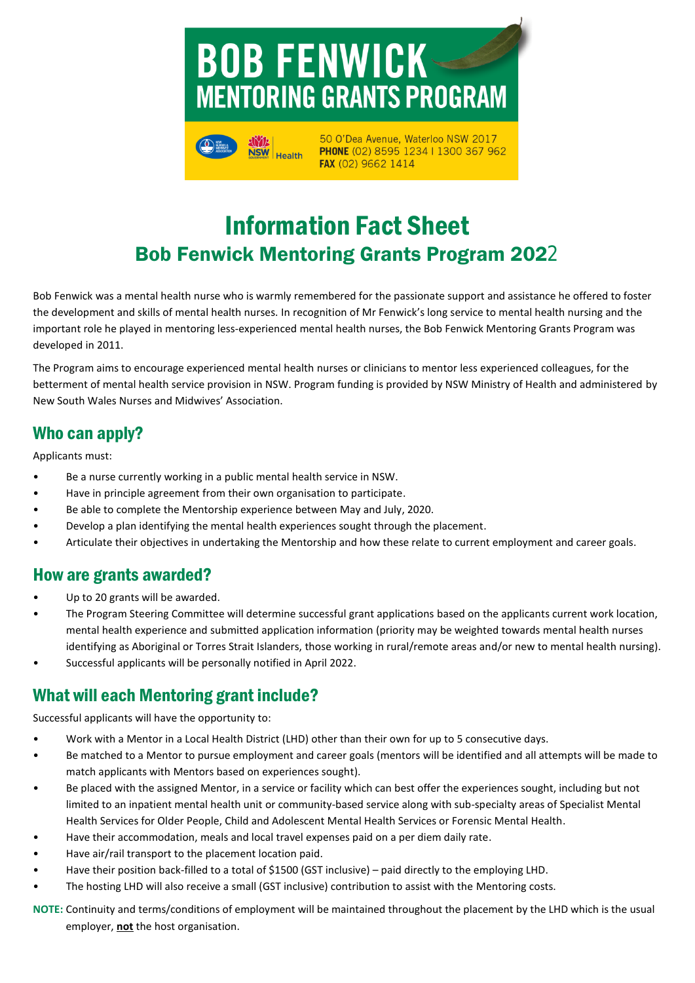



50 O'Dea Avenue, Waterloo NSW 2017 PHONE (02) 8595 1234 | 1300 367 962 FAX (02) 9662 1414

## Information Fact Sheet Bob Fenwick Mentoring Grants Program 2022

Bob Fenwick was a mental health nurse who is warmly remembered for the passionate support and assistance he offered to foster the development and skills of mental health nurses. In recognition of Mr Fenwick's long service to mental health nursing and the important role he played in mentoring less-experienced mental health nurses, the Bob Fenwick Mentoring Grants Program was developed in 2011.

The Program aims to encourage experienced mental health nurses or clinicians to mentor less experienced colleagues, for the betterment of mental health service provision in NSW. Program funding is provided by NSW Ministry of Health and administered by New South Wales Nurses and Midwives' Association.

#### Who can apply?

Applicants must:

- Be a nurse currently working in a public mental health service in NSW.
- Have in principle agreement from their own organisation to participate.
- Be able to complete the Mentorship experience between May and July, 2020.
- Develop a plan identifying the mental health experiences sought through the placement.
- Articulate their objectives in undertaking the Mentorship and how these relate to current employment and career goals.

#### How are grants awarded?

- Up to 20 grants will be awarded.
- The Program Steering Committee will determine successful grant applications based on the applicants current work location, mental health experience and submitted application information (priority may be weighted towards mental health nurses identifying as Aboriginal or Torres Strait Islanders, those working in rural/remote areas and/or new to mental health nursing).
- Successful applicants will be personally notified in April 2022.

#### What will each Mentoring grant include?

Successful applicants will have the opportunity to:

- Work with a Mentor in a Local Health District (LHD) other than their own for up to 5 consecutive days.
- Be matched to a Mentor to pursue employment and career goals (mentors will be identified and all attempts will be made to match applicants with Mentors based on experiences sought).
- Be placed with the assigned Mentor, in a service or facility which can best offer the experiences sought, including but not limited to an inpatient mental health unit or community-based service along with sub-specialty areas of Specialist Mental Health Services for Older People, Child and Adolescent Mental Health Services or Forensic Mental Health.
- Have their accommodation, meals and local travel expenses paid on a per diem daily rate.
- Have air/rail transport to the placement location paid.
- Have their position back-filled to a total of \$1500 (GST inclusive) paid directly to the employing LHD.
- The hosting LHD will also receive a small (GST inclusive) contribution to assist with the Mentoring costs.

**NOTE:** Continuity and terms/conditions of employment will be maintained throughout the placement by the LHD which is the usual employer, **not** the host organisation.